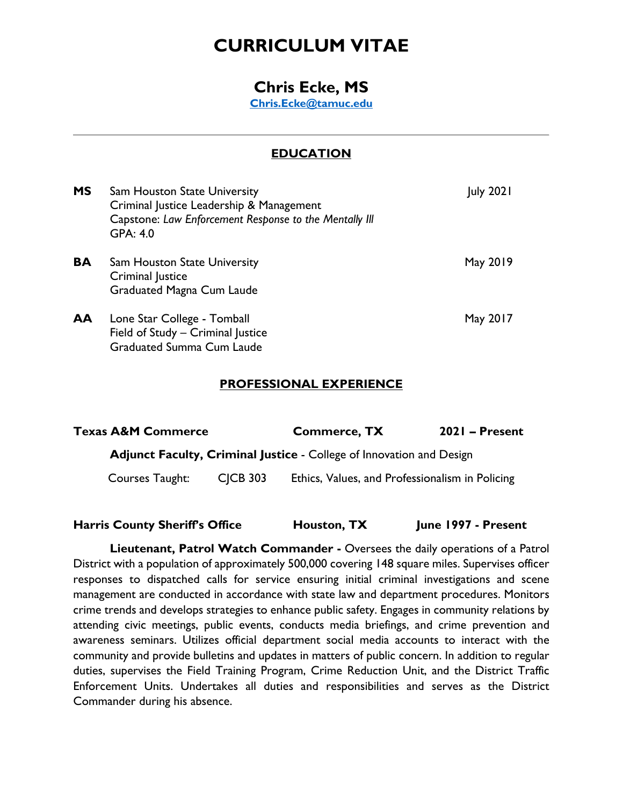# **CURRICULUM VITAE**

# **Chris Ecke, MS**

**[Chris.Ecke@tamuc.edu](mailto:Chris.Ecke@tamuc.edu)**

# **EDUCATION**

| <b>MS</b> | <b>Sam Houston State University</b><br>Criminal Justice Leadership & Management<br>Capstone: Law Enforcement Response to the Mentally III<br>GPA: 4.0 | <b>July 2021</b> |
|-----------|-------------------------------------------------------------------------------------------------------------------------------------------------------|------------------|
| BA        | Sam Houston State University<br>Criminal Justice<br>Graduated Magna Cum Laude                                                                         | May 2019         |
| AA        | Lone Star College - Tomball<br>Field of Study - Criminal Justice<br><b>Graduated Summa Cum Laude</b>                                                  | May 2017         |

#### **PROFESSIONAL EXPERIENCE**

| <b>Texas A&amp;M Commerce</b>                                        |                 | <b>Commerce, TX</b>                             | $2021$ – Present |  |
|----------------------------------------------------------------------|-----------------|-------------------------------------------------|------------------|--|
| Adjunct Faculty, Criminal Justice - College of Innovation and Design |                 |                                                 |                  |  |
| Courses Taught:                                                      | <b>CICB 303</b> | Ethics, Values, and Professionalism in Policing |                  |  |

#### **Harris County Sheriff's Office Houston, TX June 1997 - Present**

**Lieutenant, Patrol Watch Commander -** Oversees the daily operations of a Patrol District with a population of approximately 500,000 covering 148 square miles. Supervises officer responses to dispatched calls for service ensuring initial criminal investigations and scene management are conducted in accordance with state law and department procedures. Monitors crime trends and develops strategies to enhance public safety. Engages in community relations by attending civic meetings, public events, conducts media briefings, and crime prevention and awareness seminars. Utilizes official department social media accounts to interact with the community and provide bulletins and updates in matters of public concern. In addition to regular duties, supervises the Field Training Program, Crime Reduction Unit, and the District Traffic Enforcement Units. Undertakes all duties and responsibilities and serves as the District Commander during his absence.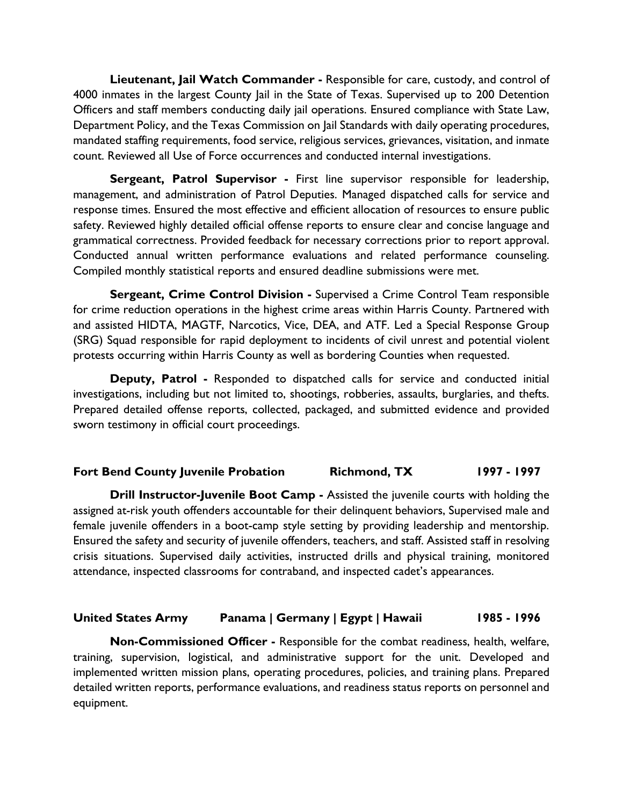**Lieutenant, Jail Watch Commander -** Responsible for care, custody, and control of 4000 inmates in the largest County Jail in the State of Texas. Supervised up to 200 Detention Officers and staff members conducting daily jail operations. Ensured compliance with State Law, Department Policy, and the Texas Commission on Jail Standards with daily operating procedures, mandated staffing requirements, food service, religious services, grievances, visitation, and inmate count. Reviewed all Use of Force occurrences and conducted internal investigations.

**Sergeant, Patrol Supervisor -** First line supervisor responsible for leadership, management, and administration of Patrol Deputies. Managed dispatched calls for service and response times. Ensured the most effective and efficient allocation of resources to ensure public safety. Reviewed highly detailed official offense reports to ensure clear and concise language and grammatical correctness. Provided feedback for necessary corrections prior to report approval. Conducted annual written performance evaluations and related performance counseling. Compiled monthly statistical reports and ensured deadline submissions were met.

**Sergeant, Crime Control Division -** Supervised a Crime Control Team responsible for crime reduction operations in the highest crime areas within Harris County. Partnered with and assisted HIDTA, MAGTF, Narcotics, Vice, DEA, and ATF. Led a Special Response Group (SRG) Squad responsible for rapid deployment to incidents of civil unrest and potential violent protests occurring within Harris County as well as bordering Counties when requested.

**Deputy, Patrol -** Responded to dispatched calls for service and conducted initial investigations, including but not limited to, shootings, robberies, assaults, burglaries, and thefts. Prepared detailed offense reports, collected, packaged, and submitted evidence and provided sworn testimony in official court proceedings.

#### **Fort Bend County Juvenile Probation Richmond, TX 1997 - 1997**

**Drill Instructor-Juvenile Boot Camp -** Assisted the juvenile courts with holding the assigned at-risk youth offenders accountable for their delinquent behaviors, Supervised male and female juvenile offenders in a boot-camp style setting by providing leadership and mentorship. Ensured the safety and security of juvenile offenders, teachers, and staff. Assisted staff in resolving crisis situations. Supervised daily activities, instructed drills and physical training, monitored attendance, inspected classrooms for contraband, and inspected cadet's appearances.

#### **United States Army Panama | Germany | Egypt | Hawaii 1985 - 1996**

**Non-Commissioned Officer -** Responsible for the combat readiness, health, welfare, training, supervision, logistical, and administrative support for the unit. Developed and implemented written mission plans, operating procedures, policies, and training plans. Prepared detailed written reports, performance evaluations, and readiness status reports on personnel and equipment.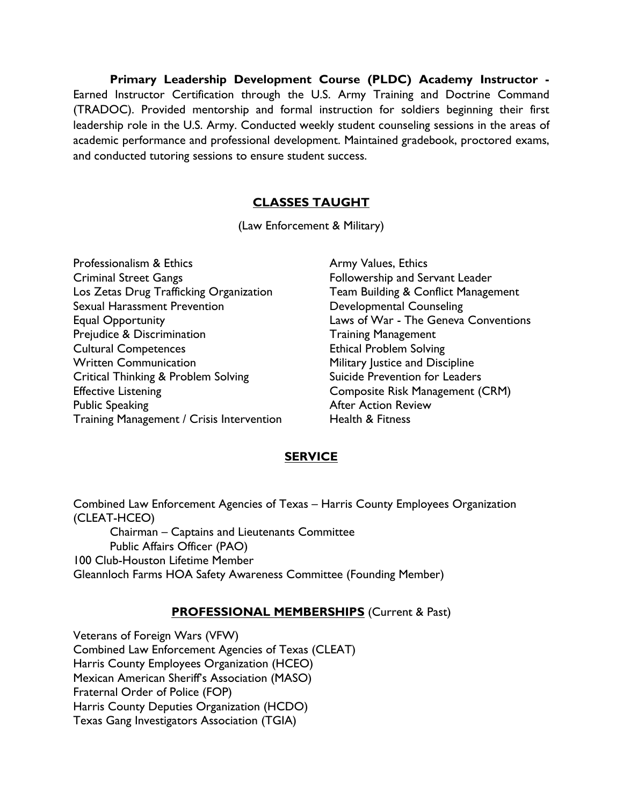**Primary Leadership Development Course (PLDC) Academy Instructor -** Earned Instructor Certification through the U.S. Army Training and Doctrine Command (TRADOC). Provided mentorship and formal instruction for soldiers beginning their first leadership role in the U.S. Army. Conducted weekly student counseling sessions in the areas of academic performance and professional development. Maintained gradebook, proctored exams, and conducted tutoring sessions to ensure student success.

### **CLASSES TAUGHT**

(Law Enforcement & Military)

Professionalism & Ethics Criminal Street Gangs Los Zetas Drug Trafficking Organization Sexual Harassment Prevention Equal Opportunity Prejudice & Discrimination Cultural Competences Written Communication Critical Thinking & Problem Solving Effective Listening Public Speaking Training Management / Crisis Intervention

Army Values, Ethics Followership and Servant Leader Team Building & Conflict Management Developmental Counseling Laws of War - The Geneva Conventions Training Management Ethical Problem Solving Military Justice and Discipline Suicide Prevention for Leaders Composite Risk Management (CRM) After Action Review Health & Fitness

#### **SERVICE**

Combined Law Enforcement Agencies of Texas – Harris County Employees Organization (CLEAT-HCEO) Chairman – Captains and Lieutenants Committee Public Affairs Officer (PAO) 100 Club-Houston Lifetime Member Gleannloch Farms HOA Safety Awareness Committee (Founding Member)

#### **PROFESSIONAL MEMBERSHIPS** (Current & Past)

Veterans of Foreign Wars (VFW) Combined Law Enforcement Agencies of Texas (CLEAT) Harris County Employees Organization (HCEO) Mexican American Sheriff's Association (MASO) Fraternal Order of Police (FOP) Harris County Deputies Organization (HCDO) Texas Gang Investigators Association (TGIA)